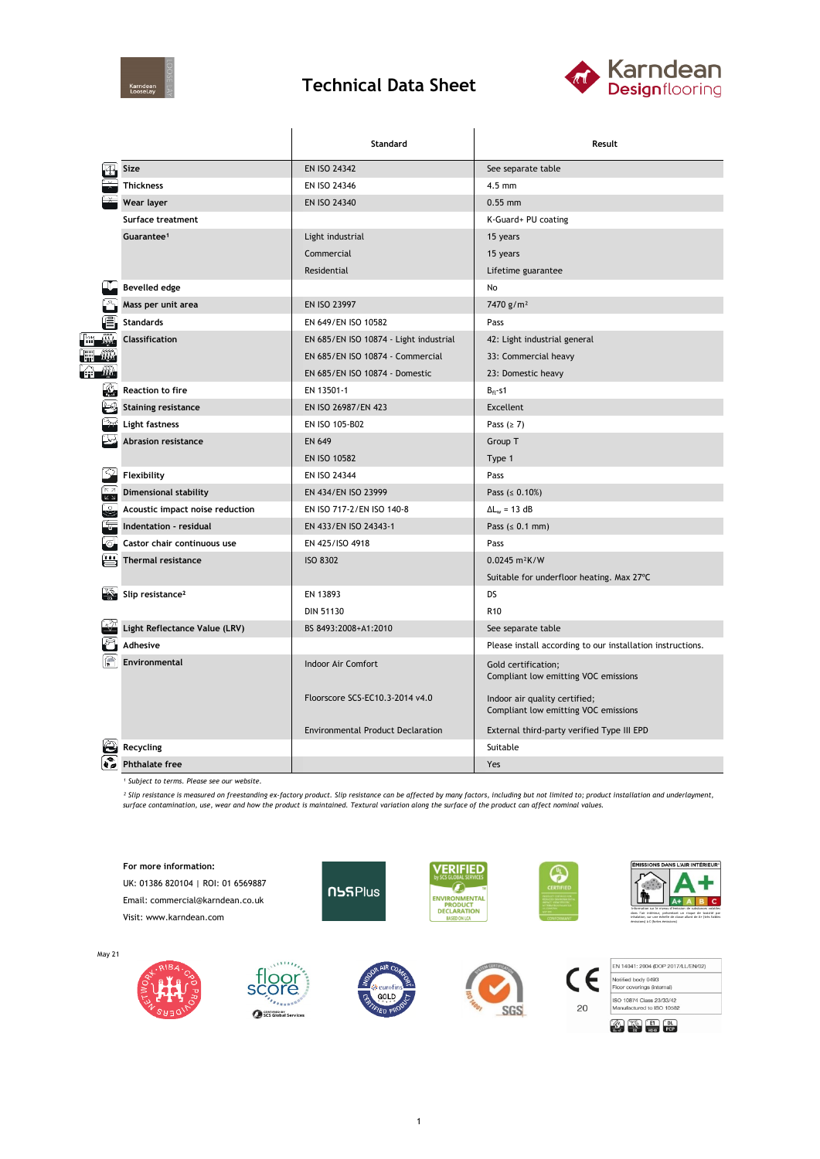

## **Technical Data Sheet**



|                      |                                 | Standard                                 | Result                                                                |  |  |
|----------------------|---------------------------------|------------------------------------------|-----------------------------------------------------------------------|--|--|
|                      | Size                            | <b>EN ISO 24342</b>                      | See separate table                                                    |  |  |
|                      | <b>Thickness</b>                | EN ISO 24346                             | $4.5$ mm                                                              |  |  |
|                      | Wear layer                      | EN ISO 24340                             | $0.55$ mm                                                             |  |  |
|                      | Surface treatment               |                                          | K-Guard+ PU coating                                                   |  |  |
|                      | Guarantee <sup>1</sup>          | Light industrial                         | 15 years                                                              |  |  |
|                      |                                 | Commercial                               | 15 years                                                              |  |  |
|                      |                                 | Residential                              | Lifetime guarantee                                                    |  |  |
|                      | <b>Bevelled edge</b>            |                                          | No                                                                    |  |  |
|                      | Mass per unit area              | EN ISO 23997                             | 7470 g/m <sup>2</sup>                                                 |  |  |
|                      | <b>Standards</b>                | EN 649/EN ISO 10582                      | Pass                                                                  |  |  |
|                      | <b>Classification</b>           | EN 685/EN ISO 10874 - Light industrial   | 42: Light industrial general                                          |  |  |
|                      |                                 | EN 685/EN ISO 10874 - Commercial         | 33: Commercial heavy                                                  |  |  |
| - WA<br>ÉĤ           |                                 | EN 685/EN ISO 10874 - Domestic           | 23: Domestic heavy                                                    |  |  |
|                      | <b>Reaction to fire</b>         | EN 13501-1                               | $B_{fl}$ -s1                                                          |  |  |
|                      | <b>Staining resistance</b>      | EN ISO 26987/EN 423                      | <b>Excellent</b>                                                      |  |  |
|                      | Light fastness                  | EN ISO 105-B02                           | Pass $(≥ 7)$                                                          |  |  |
|                      | Abrasion resistance             | <b>EN 649</b>                            | Group T                                                               |  |  |
|                      |                                 | <b>EN ISO 10582</b>                      | Type 1                                                                |  |  |
|                      | Flexibility                     | EN ISO 24344                             | Pass                                                                  |  |  |
| $\sqrt{\frac{1}{2}}$ | <b>Dimensional stability</b>    | EN 434/EN ISO 23999                      | Pass ( $\leq 0.10\%$ )                                                |  |  |
| ુ                    | Acoustic impact noise reduction | EN ISO 717-2/EN ISO 140-8                | $\Delta L_w = 13 dB$                                                  |  |  |
|                      | Indentation - residual          | EN 433/EN ISO 24343-1                    | Pass $(0.1 mm)$                                                       |  |  |
|                      | Castor chair continuous use     | EN 425/ISO 4918                          | Pass                                                                  |  |  |
|                      | <b>Thermal resistance</b>       | <b>ISO 8302</b>                          | $0.0245 \text{ m}^2 \text{K/W}$                                       |  |  |
|                      |                                 |                                          | Suitable for underfloor heating. Max 27°C                             |  |  |
|                      | Slip resistance <sup>2</sup>    | EN 13893                                 | DS                                                                    |  |  |
|                      |                                 | <b>DIN 51130</b>                         | R <sub>10</sub>                                                       |  |  |
|                      | Light Reflectance Value (LRV)   | BS 8493:2008+A1:2010                     | See separate table                                                    |  |  |
|                      | <b>Adhesive</b>                 |                                          | Please install according to our installation instructions.            |  |  |
|                      | Environmental                   | Indoor Air Comfort                       | Gold certification;<br>Compliant low emitting VOC emissions           |  |  |
|                      |                                 | Floorscore SCS-EC10.3-2014 v4.0          | Indoor air quality certified;<br>Compliant low emitting VOC emissions |  |  |
|                      |                                 | <b>Environmental Product Declaration</b> | External third-party verified Type III EPD                            |  |  |
|                      | Recycling                       |                                          | Suitable                                                              |  |  |
|                      | <b>Phthalate free</b>           |                                          | Yes                                                                   |  |  |

*¹ Subject to terms. Please see our website.*

May 21

<sup>2</sup> Slip resistance is measured on freestanding ex-factory product. Slip resistance can be affected by many factors, including but not limited to; product installation and underlayment,<br>surface contamination, use, wear and